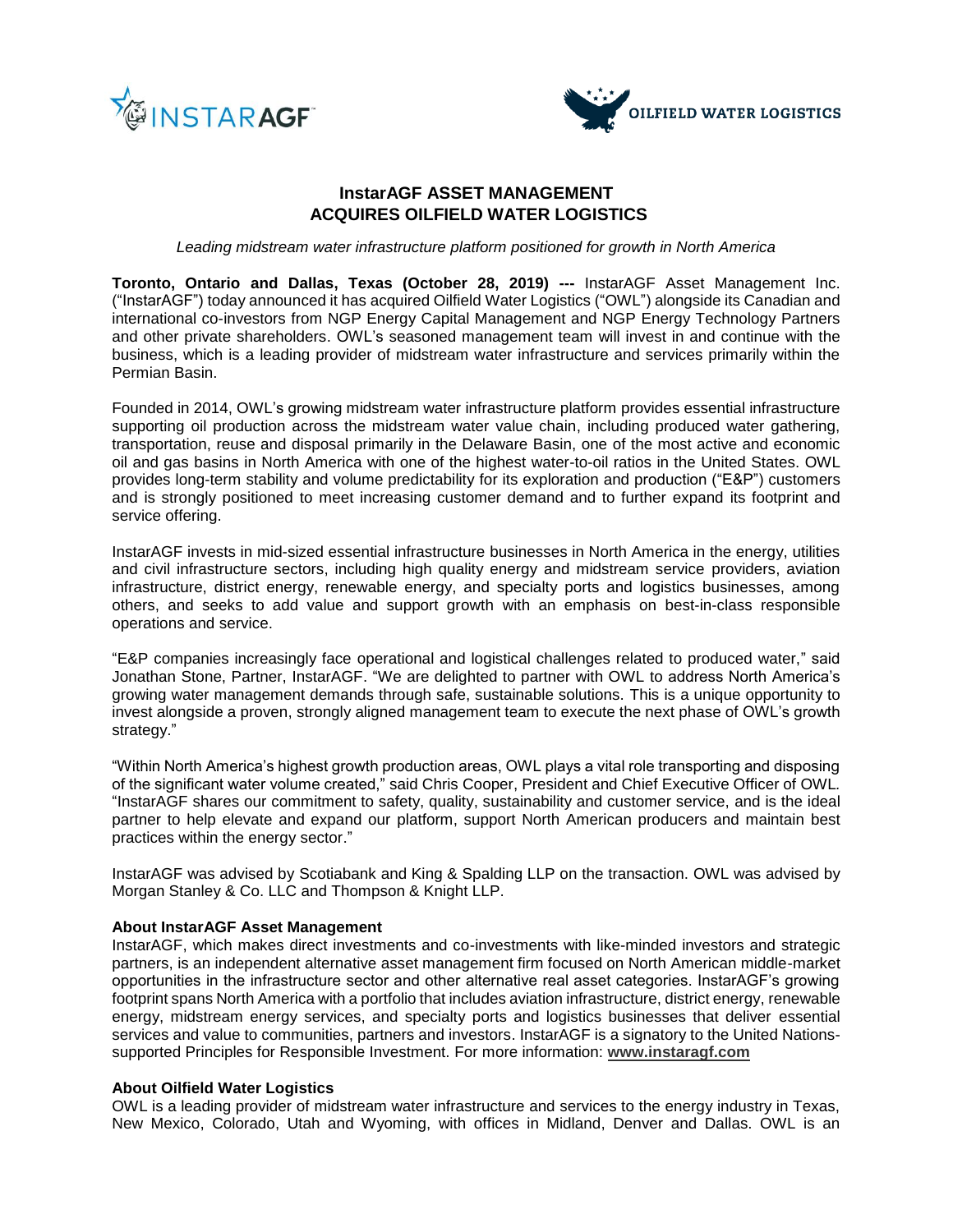



# **InstarAGF ASSET MANAGEMENT ACQUIRES OILFIELD WATER LOGISTICS**

*Leading midstream water infrastructure platform positioned for growth in North America*

**Toronto, Ontario and Dallas, Texas (October 28, 2019) ---** InstarAGF Asset Management Inc. ("InstarAGF") today announced it has acquired Oilfield Water Logistics ("OWL") alongside its Canadian and international co-investors from NGP Energy Capital Management and NGP Energy Technology Partners and other private shareholders. OWL's seasoned management team will invest in and continue with the business, which is a leading provider of midstream water infrastructure and services primarily within the Permian Basin.

Founded in 2014, OWL's growing midstream water infrastructure platform provides essential infrastructure supporting oil production across the midstream water value chain, including produced water gathering, transportation, reuse and disposal primarily in the Delaware Basin, one of the most active and economic oil and gas basins in North America with one of the highest water-to-oil ratios in the United States. OWL provides long-term stability and volume predictability for its exploration and production ("E&P") customers and is strongly positioned to meet increasing customer demand and to further expand its footprint and service offering.

InstarAGF invests in mid-sized essential infrastructure businesses in North America in the energy, utilities and civil infrastructure sectors, including high quality energy and midstream service providers, aviation infrastructure, district energy, renewable energy, and specialty ports and logistics businesses, among others, and seeks to add value and support growth with an emphasis on best-in-class responsible operations and service.

"E&P companies increasingly face operational and logistical challenges related to produced water," said Jonathan Stone, Partner, InstarAGF. "We are delighted to partner with OWL to address North America's growing water management demands through safe, sustainable solutions. This is a unique opportunity to invest alongside a proven, strongly aligned management team to execute the next phase of OWL's growth strategy."

"Within North America's highest growth production areas, OWL plays a vital role transporting and disposing of the significant water volume created," said Chris Cooper, President and Chief Executive Officer of OWL*.* "InstarAGF shares our commitment to safety, quality, sustainability and customer service, and is the ideal partner to help elevate and expand our platform, support North American producers and maintain best practices within the energy sector."

InstarAGF was advised by Scotiabank and King & Spalding LLP on the transaction. OWL was advised by Morgan Stanley & Co. LLC and Thompson & Knight LLP.

## **About InstarAGF Asset Management**

InstarAGF, which makes direct investments and co-investments with like-minded investors and strategic partners, is an independent alternative asset management firm focused on North American middle-market opportunities in the infrastructure sector and other alternative real asset categories. InstarAGF's growing footprint spans North America with a portfolio that includes aviation infrastructure, district energy, renewable energy, midstream energy services, and specialty ports and logistics businesses that deliver essential services and value to communities, partners and investors. InstarAGF is a signatory to the United Nationssupported Principles for Responsible Investment. For more information: **[www.instaragf.com](http://www.instaragf.com/)**

# **About Oilfield Water Logistics**

OWL is a leading provider of midstream water infrastructure and services to the energy industry in Texas, New Mexico, Colorado, Utah and Wyoming, with offices in Midland, Denver and Dallas. OWL is an